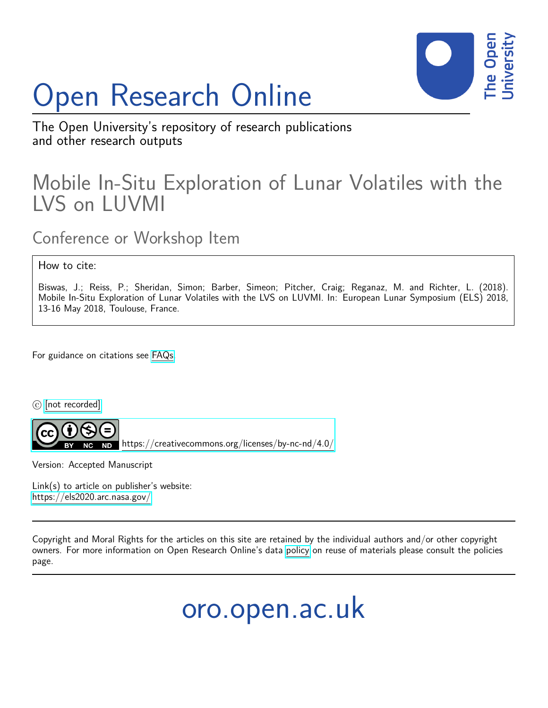## Open Research Online



The Open University's repository of research publications and other research outputs

## Mobile In-Situ Exploration of Lunar Volatiles with the LVS on LUVMI

Conference or Workshop Item

How to cite:

Biswas, J.; Reiss, P.; Sheridan, Simon; Barber, Simeon; Pitcher, Craig; Reganaz, M. and Richter, L. (2018). Mobile In-Situ Exploration of Lunar Volatiles with the LVS on LUVMI. In: European Lunar Symposium (ELS) 2018, 13-16 May 2018, Toulouse, France.

For guidance on citations see [FAQs.](http://oro.open.ac.uk/help/helpfaq.html)

 $\circled{c}$  [\[not recorded\]](http://oro.open.ac.uk/help/helpfaq.html#Unrecorded_information_on_coversheet)



<https://creativecommons.org/licenses/by-nc-nd/4.0/>

Version: Accepted Manuscript

Link(s) to article on publisher's website: <https://els2020.arc.nasa.gov/>

Copyright and Moral Rights for the articles on this site are retained by the individual authors and/or other copyright owners. For more information on Open Research Online's data [policy](http://oro.open.ac.uk/policies.html) on reuse of materials please consult the policies page.

oro.open.ac.uk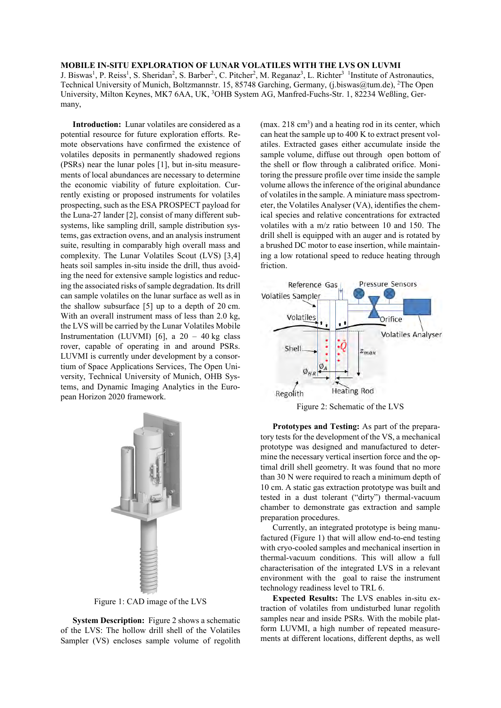## **MOBILE IN-SITU EXPLORATION OF LUNAR VOLATILES WITH THE LVS ON LUVMI**

J. Biswas<sup>1</sup>, P. Reiss<sup>1</sup>, S. Sheridan<sup>2</sup>, S. Barber<sup>2</sup>, C. Pitcher<sup>2</sup>, M. Reganaz<sup>3</sup>, L. Richter<sup>3</sup> <sup>1</sup>Institute of Astronautics, Technical University of Munich, Boltzmannstr. 15, 85748 Garching, Germany, (j.biswas@tum.de), <sup>2</sup>The Open University, Milton Keynes, MK7 6AA, UK, <sup>3</sup>OHB System AG, Manfred-Fuchs-Str. 1, 82234 Weßling, Germany,

**Introduction:** Lunar volatiles are considered as a potential resource for future exploration efforts. Remote observations have confirmed the existence of volatiles deposits in permanently shadowed regions (PSRs) near the lunar poles [1], but in-situ measurements of local abundances are necessary to determine the economic viability of future exploitation. Currently existing or proposed instruments for volatiles prospecting, such as the ESA PROSPECT payload for the Luna-27 lander [2], consist of many different subsystems, like sampling drill, sample distribution systems, gas extraction ovens, and an analysis instrument suite, resulting in comparably high overall mass and complexity. The Lunar Volatiles Scout (LVS) [3,4] heats soil samples in-situ inside the drill, thus avoiding the need for extensive sample logistics and reducing the associated risks of sample degradation. Its drill can sample volatiles on the lunar surface as well as in the shallow subsurface [5] up to a depth of 20 cm. With an overall instrument mass of less than 2.0 kg, the LVS will be carried by the Lunar Volatiles Mobile Instrumentation (LUVMI) [6], a  $20 - 40$  kg class rover, capable of operating in and around PSRs. LUVMI is currently under development by a consortium of Space Applications Services, The Open University, Technical University of Munich, OHB Systems, and Dynamic Imaging Analytics in the European Horizon 2020 framework.



Figure 1: CAD image of the LVS

**System Description:** Figure 2 shows a schematic of the LVS: The hollow drill shell of the Volatiles Sampler (VS) encloses sample volume of regolith

 $(max. 218 cm<sup>3</sup>)$  and a heating rod in its center, which can heat the sample up to 400 K to extract present volatiles. Extracted gases either accumulate inside the sample volume, diffuse out through open bottom of the shell or flow through a calibrated orifice. Monitoring the pressure profile over time inside the sample volume allows the inference of the original abundance of volatiles in the sample. A miniature mass spectrometer, the Volatiles Analyser (VA), identifies the chemical species and relative concentrations for extracted volatiles with a m/z ratio between 10 and 150. The drill shell is equipped with an auger and is rotated by a brushed DC motor to ease insertion, while maintaining a low rotational speed to reduce heating through friction.



Figure 2: Schematic of the LVS

**Prototypes and Testing:** As part of the preparatory tests for the development of the VS, a mechanical prototype was designed and manufactured to determine the necessary vertical insertion force and the optimal drill shell geometry. It was found that no more than 30 N were required to reach a minimum depth of 10 cm. A static gas extraction prototype was built and tested in a dust tolerant ("dirty") thermal-vacuum chamber to demonstrate gas extraction and sample preparation procedures.

Currently, an integrated prototype is being manufactured (Figure 1) that will allow end-to-end testing with cryo-cooled samples and mechanical insertion in thermal-vacuum conditions. This will allow a full characterisation of the integrated LVS in a relevant environment with the goal to raise the instrument technology readiness level to TRL 6.

**Expected Results:** The LVS enables in-situ extraction of volatiles from undisturbed lunar regolith samples near and inside PSRs. With the mobile platform LUVMI, a high number of repeated measurements at different locations, different depths, as well